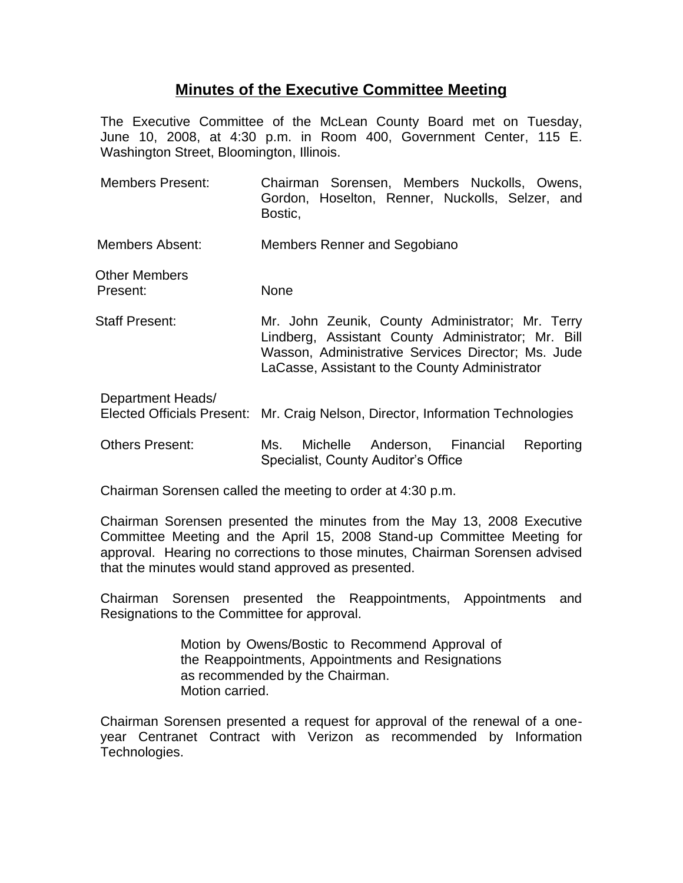## **Minutes of the Executive Committee Meeting**

The Executive Committee of the McLean County Board met on Tuesday, June 10, 2008, at 4:30 p.m. in Room 400, Government Center, 115 E. Washington Street, Bloomington, Illinois.

- Members Present: Chairman Sorensen, Members Nuckolls, Owens, Gordon, Hoselton, Renner, Nuckolls, Selzer, and Bostic,
- Members Absent: Members Renner and Segobiano
- Other Members Present: None
- Staff Present: Mr. John Zeunik, County Administrator; Mr. Terry Lindberg, Assistant County Administrator; Mr. Bill Wasson, Administrative Services Director; Ms. Jude LaCasse, Assistant to the County Administrator
- Department Heads/ Elected Officials Present: Mr. Craig Nelson, Director, Information Technologies
- Others Present: Ms. Michelle Anderson, Financial Reporting Specialist, County Auditor's Office

Chairman Sorensen called the meeting to order at 4:30 p.m.

Chairman Sorensen presented the minutes from the May 13, 2008 Executive Committee Meeting and the April 15, 2008 Stand-up Committee Meeting for approval. Hearing no corrections to those minutes, Chairman Sorensen advised that the minutes would stand approved as presented.

Chairman Sorensen presented the Reappointments, Appointments and Resignations to the Committee for approval.

> Motion by Owens/Bostic to Recommend Approval of the Reappointments, Appointments and Resignations as recommended by the Chairman. Motion carried.

Chairman Sorensen presented a request for approval of the renewal of a oneyear Centranet Contract with Verizon as recommended by Information Technologies.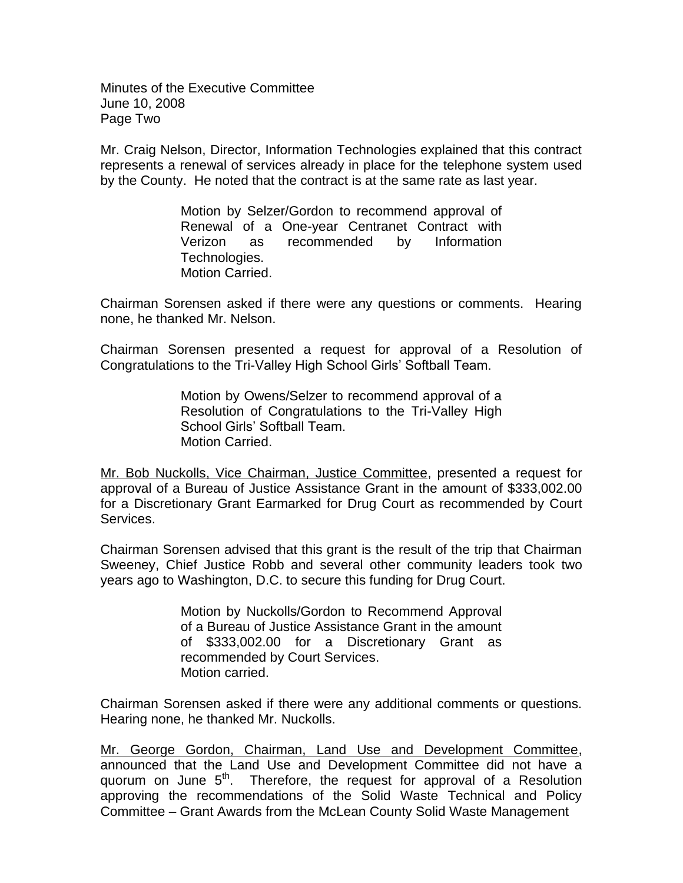Minutes of the Executive Committee June 10, 2008 Page Two

Mr. Craig Nelson, Director, Information Technologies explained that this contract represents a renewal of services already in place for the telephone system used by the County. He noted that the contract is at the same rate as last year.

> Motion by Selzer/Gordon to recommend approval of Renewal of a One-year Centranet Contract with Verizon as recommended by Information Technologies. Motion Carried.

Chairman Sorensen asked if there were any questions or comments. Hearing none, he thanked Mr. Nelson.

Chairman Sorensen presented a request for approval of a Resolution of Congratulations to the Tri-Valley High School Girls' Softball Team.

> Motion by Owens/Selzer to recommend approval of a Resolution of Congratulations to the Tri-Valley High School Girls' Softball Team. Motion Carried.

Mr. Bob Nuckolls, Vice Chairman, Justice Committee, presented a request for approval of a Bureau of Justice Assistance Grant in the amount of \$333,002.00 for a Discretionary Grant Earmarked for Drug Court as recommended by Court Services.

Chairman Sorensen advised that this grant is the result of the trip that Chairman Sweeney, Chief Justice Robb and several other community leaders took two years ago to Washington, D.C. to secure this funding for Drug Court.

> Motion by Nuckolls/Gordon to Recommend Approval of a Bureau of Justice Assistance Grant in the amount of \$333,002.00 for a Discretionary Grant as recommended by Court Services. Motion carried.

Chairman Sorensen asked if there were any additional comments or questions. Hearing none, he thanked Mr. Nuckolls.

Mr. George Gordon, Chairman, Land Use and Development Committee, announced that the Land Use and Development Committee did not have a quorum on June  $5<sup>th</sup>$ . Therefore, the request for approval of a Resolution approving the recommendations of the Solid Waste Technical and Policy Committee – Grant Awards from the McLean County Solid Waste Management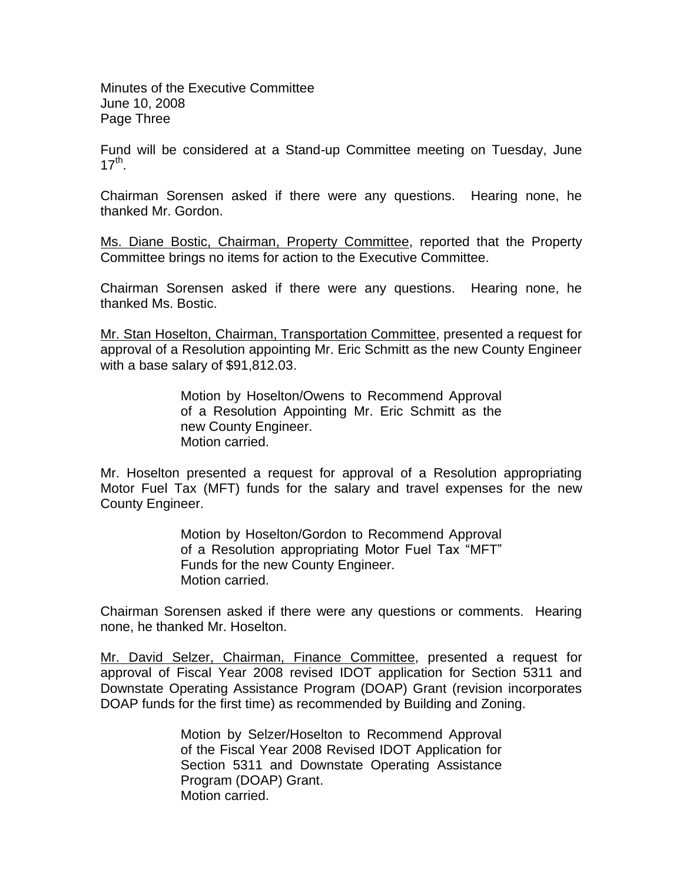Minutes of the Executive Committee June 10, 2008 Page Three

Fund will be considered at a Stand-up Committee meeting on Tuesday, June  $17^{\text{th}}$ .

Chairman Sorensen asked if there were any questions. Hearing none, he thanked Mr. Gordon.

Ms. Diane Bostic, Chairman, Property Committee, reported that the Property Committee brings no items for action to the Executive Committee.

Chairman Sorensen asked if there were any questions. Hearing none, he thanked Ms. Bostic.

Mr. Stan Hoselton, Chairman, Transportation Committee, presented a request for approval of a Resolution appointing Mr. Eric Schmitt as the new County Engineer with a base salary of \$91,812.03.

> Motion by Hoselton/Owens to Recommend Approval of a Resolution Appointing Mr. Eric Schmitt as the new County Engineer. Motion carried.

Mr. Hoselton presented a request for approval of a Resolution appropriating Motor Fuel Tax (MFT) funds for the salary and travel expenses for the new County Engineer.

> Motion by Hoselton/Gordon to Recommend Approval of a Resolution appropriating Motor Fuel Tax "MFT" Funds for the new County Engineer. Motion carried.

Chairman Sorensen asked if there were any questions or comments. Hearing none, he thanked Mr. Hoselton.

Mr. David Selzer, Chairman, Finance Committee, presented a request for approval of Fiscal Year 2008 revised IDOT application for Section 5311 and Downstate Operating Assistance Program (DOAP) Grant (revision incorporates DOAP funds for the first time) as recommended by Building and Zoning.

> Motion by Selzer/Hoselton to Recommend Approval of the Fiscal Year 2008 Revised IDOT Application for Section 5311 and Downstate Operating Assistance Program (DOAP) Grant. Motion carried.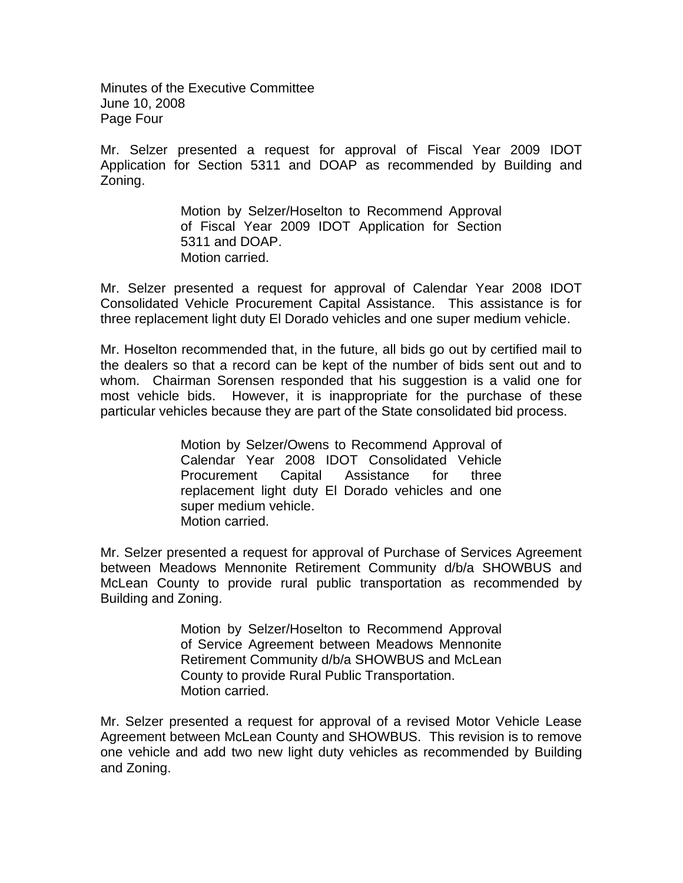Minutes of the Executive Committee June 10, 2008 Page Four

Mr. Selzer presented a request for approval of Fiscal Year 2009 IDOT Application for Section 5311 and DOAP as recommended by Building and Zoning.

> Motion by Selzer/Hoselton to Recommend Approval of Fiscal Year 2009 IDOT Application for Section 5311 and DOAP. Motion carried.

Mr. Selzer presented a request for approval of Calendar Year 2008 IDOT Consolidated Vehicle Procurement Capital Assistance. This assistance is for three replacement light duty El Dorado vehicles and one super medium vehicle.

Mr. Hoselton recommended that, in the future, all bids go out by certified mail to the dealers so that a record can be kept of the number of bids sent out and to whom. Chairman Sorensen responded that his suggestion is a valid one for most vehicle bids. However, it is inappropriate for the purchase of these particular vehicles because they are part of the State consolidated bid process.

> Motion by Selzer/Owens to Recommend Approval of Calendar Year 2008 IDOT Consolidated Vehicle Procurement Capital Assistance for three replacement light duty El Dorado vehicles and one super medium vehicle. Motion carried.

Mr. Selzer presented a request for approval of Purchase of Services Agreement between Meadows Mennonite Retirement Community d/b/a SHOWBUS and McLean County to provide rural public transportation as recommended by Building and Zoning.

> Motion by Selzer/Hoselton to Recommend Approval of Service Agreement between Meadows Mennonite Retirement Community d/b/a SHOWBUS and McLean County to provide Rural Public Transportation. Motion carried.

Mr. Selzer presented a request for approval of a revised Motor Vehicle Lease Agreement between McLean County and SHOWBUS. This revision is to remove one vehicle and add two new light duty vehicles as recommended by Building and Zoning.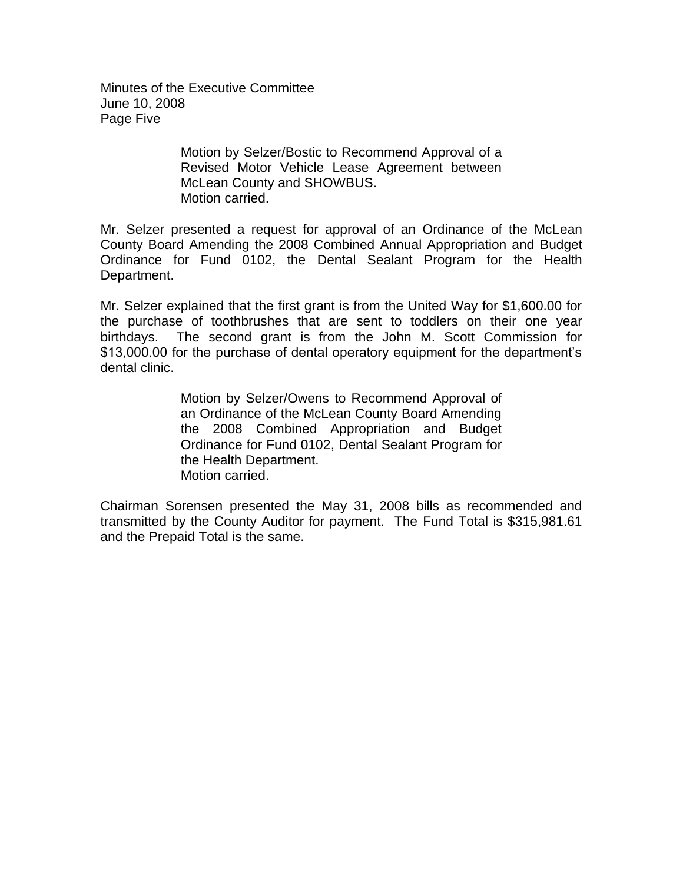Minutes of the Executive Committee June 10, 2008 Page Five

> Motion by Selzer/Bostic to Recommend Approval of a Revised Motor Vehicle Lease Agreement between McLean County and SHOWBUS. Motion carried.

Mr. Selzer presented a request for approval of an Ordinance of the McLean County Board Amending the 2008 Combined Annual Appropriation and Budget Ordinance for Fund 0102, the Dental Sealant Program for the Health Department.

Mr. Selzer explained that the first grant is from the United Way for \$1,600.00 for the purchase of toothbrushes that are sent to toddlers on their one year birthdays. The second grant is from the John M. Scott Commission for \$13,000.00 for the purchase of dental operatory equipment for the department's dental clinic.

> Motion by Selzer/Owens to Recommend Approval of an Ordinance of the McLean County Board Amending the 2008 Combined Appropriation and Budget Ordinance for Fund 0102, Dental Sealant Program for the Health Department. Motion carried.

Chairman Sorensen presented the May 31, 2008 bills as recommended and transmitted by the County Auditor for payment. The Fund Total is \$315,981.61 and the Prepaid Total is the same.